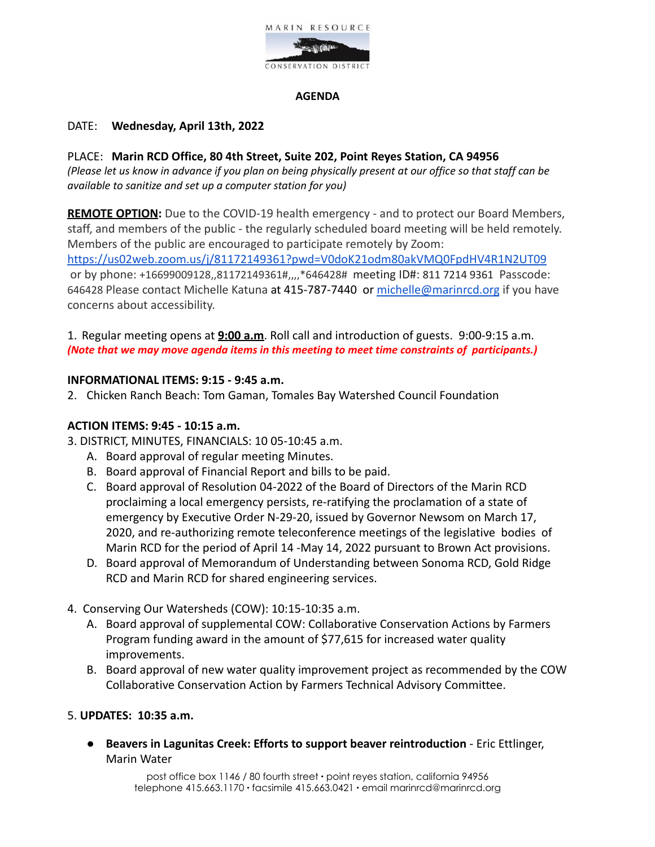

## **AGENDA**

## DATE: **Wednesday, April 13th, 2022**

## PLACE: **Marin RCD Office, 80 4th Street, Suite 202, Point Reyes Station, CA 94956**

(Please let us know in advance if you plan on being physically present at our office so that staff can be *available to sanitize and set up a computer station for you)*

**REMOTE OPTION:** Due to the COVID-19 health emergency - and to protect our Board Members, staff, and members of the public - the regularly scheduled board meeting [w](https://us02web.zoom.us/j/85806950980)ill be held remotely. Members of the public are encouraged to participate remotely by Zoom: <https://us02web.zoom.us/j/81172149361?pwd=V0doK21odm80akVMQ0FpdHV4R1N2UT09>

or by phone: +16699009128,,81172149361#,,,,\*646428# meeting ID#: 811 7214 9361 Passcode: 646428 Please contact Michelle Katuna at 415-787-7440 or [michelle@marinrcd.org](mailto:michelle@marinrcd.org) if you have concerns about accessibility.

1. Regular meeting opens at **9:00 a.m**. Roll call and introduction of guests. 9:00-9:15 a.m. *(Note that we may move agenda items in this meeting to meet time constraints of participants.)*

## **INFORMATIONAL ITEMS: 9:15 - 9:45 a.m.**

2. Chicken Ranch Beach: Tom Gaman, Tomales Bay Watershed Council Foundation

## **ACTION ITEMS: 9:45 - 10:15 a.m.**

- 3. DISTRICT, MINUTES, FINANCIALS: 10 05-10:45 a.m.
	- A. Board approval of regular meeting Minutes.
	- B. Board approval of Financial Report and bills to be paid.
	- C. Board approval of Resolution 04-2022 of the Board of Directors of the Marin RCD proclaiming a local emergency persists, re-ratifying the proclamation of a state of emergency by Executive Order N-29-20, issued by Governor Newsom on March 17, 2020, and re-authorizing remote teleconference meetings of the legislative bodies of Marin RCD for the period of April 14 -May 14, 2022 pursuant to Brown Act provisions.
	- D. Board approval of Memorandum of Understanding between Sonoma RCD, Gold Ridge RCD and Marin RCD for shared engineering services.
- 4. Conserving Our Watersheds (COW): 10:15-10:35 a.m.
	- A. Board approval of supplemental COW: Collaborative Conservation Actions by Farmers Program funding award in the amount of \$77,615 for increased water quality improvements.
	- B. Board approval of new water quality improvement project as recommended by the COW Collaborative Conservation Action by Farmers Technical Advisory Committee.

## 5. **UPDATES: 10:35 a.m.**

● **Beavers in Lagunitas Creek: Efforts to support beaver reintroduction** - Eric Ettlinger, Marin Water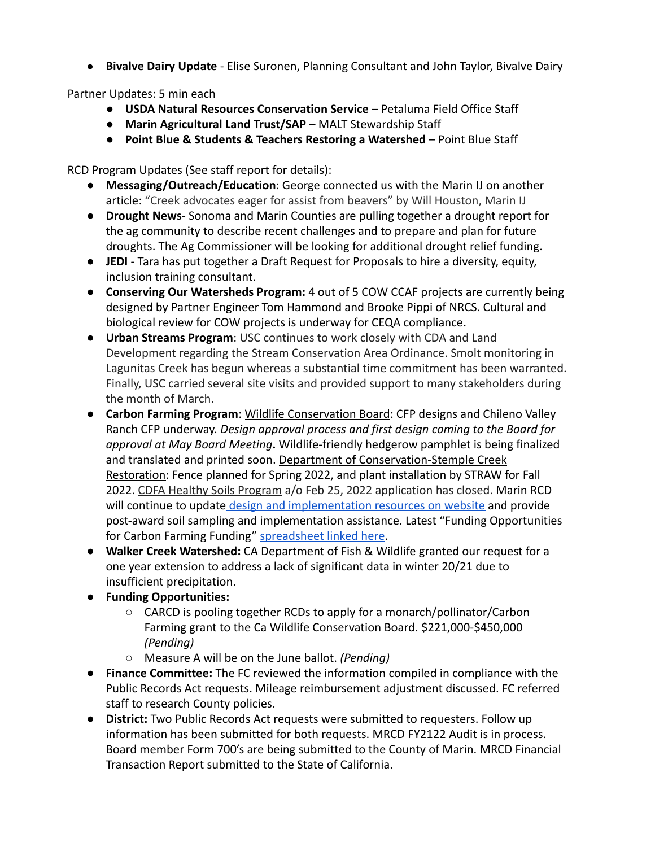● **Bivalve Dairy Update** - Elise Suronen, Planning Consultant and John Taylor, Bivalve Dairy

Partner Updates: 5 min each

- **USDA Natural Resources Conservation Service** Petaluma Field Office Staff
- **Marin Agricultural Land Trust/SAP** MALT Stewardship Staff
- **Point Blue & Students & Teachers Restoring a Watershed** Point Blue Staff

RCD Program Updates (See staff report for details):

- **Messaging/Outreach/Education**: George connected us with the Marin IJ on another article: "Creek advocates eager for assist from beavers" by Will Houston, Marin IJ
- **Drought News-** Sonoma and Marin Counties are pulling together a drought report for the ag community to describe recent challenges and to prepare and plan for future droughts. The Ag Commissioner will be looking for additional drought relief funding.
- **JEDI** Tara has put together a Draft Request for Proposals to hire a diversity, equity, inclusion training consultant.
- **Conserving Our Watersheds Program:** 4 out of 5 COW CCAF projects are currently being designed by Partner Engineer Tom Hammond and Brooke Pippi of NRCS. Cultural and biological review for COW projects is underway for CEQA compliance.
- **Urban Streams Program**: USC continues to work closely with CDA and Land Development regarding the Stream Conservation Area Ordinance. Smolt monitoring in Lagunitas Creek has begun whereas a substantial time commitment has been warranted. Finally, USC carried several site visits and provided support to many stakeholders during the month of March.
- **Carbon Farming Program**: Wildlife Conservation Board: CFP designs and Chileno Valley Ranch CFP underway. *Design approval process and first design coming to the Board for approval at May Board Meeting***.** Wildlife-friendly hedgerow pamphlet is being finalized and translated and printed soon. Department of Conservation-Stemple Creek Restoration: Fence planned for Spring 2022, and plant installation by STRAW for Fall 2022. CDFA Healthy Soils Program a/o Feb 25, 2022 application has closed. Marin RCD will continue to update [design and implementation](https://www.marinrcd.org/carbon-farm-implementation/) resources on website and provide post-award soil sampling and implementation assistance. Latest "Funding Opportunities for Carbon Farming Funding" [spreadsheet linked here.](https://www.marinrcd.org/wp/wp-content/uploads/2022/04/Funding-for-Carbon-Farming-in-Marin_Apr2022update.pdf)
- **Walker Creek Watershed:** CA Department of Fish & Wildlife granted our request for a one year extension to address a lack of significant data in winter 20/21 due to insufficient precipitation.
- **Funding Opportunities:**
	- CARCD is pooling together RCDs to apply for a monarch/pollinator/Carbon Farming grant to the Ca Wildlife Conservation Board. \$221,000-\$450,000 *(Pending)*
	- Measure A will be on the June ballot. *(Pending)*
- **Finance Committee:** The FC reviewed the information compiled in compliance with the Public Records Act requests. Mileage reimbursement adjustment discussed. FC referred staff to research County policies.
- **District:** Two Public Records Act requests were submitted to requesters. Follow up information has been submitted for both requests. MRCD FY2122 Audit is in process. Board member Form 700's are being submitted to the County of Marin. MRCD Financial Transaction Report submitted to the State of California.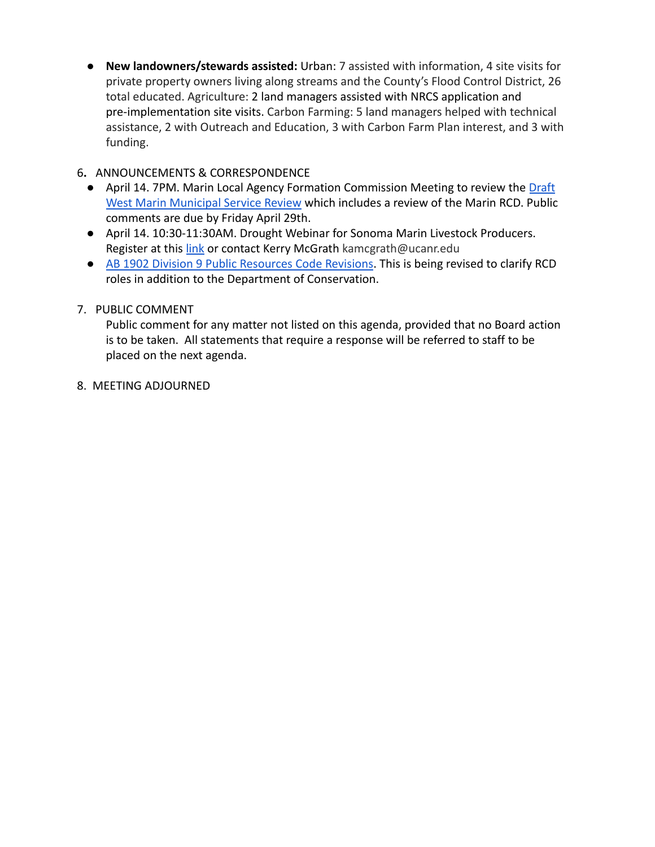● **New landowners/stewards assisted:** Urban: 7 assisted with information, 4 site visits for private property owners living along streams and the County's Flood Control District, 26 total educated. Agriculture: 2 land managers assisted with NRCS application and pre-implementation site visits. Carbon Farming: 5 land managers helped with technical assistance, 2 with Outreach and Education, 3 with Carbon Farm Plan interest, and 3 with funding.

# 6**.** ANNOUNCEMENTS & CORRESPONDENCE

- April 14. 7PM. Marin Local Agency Formation Commission Meeting to review the [Draft](https://www.marinlafco.org/files/745de64cc/West+Marin+MSR+PUBLIC+DRAFT.pdf) [West Marin Municipal Service Review](https://www.marinlafco.org/files/745de64cc/West+Marin+MSR+PUBLIC+DRAFT.pdf) which includes a review of the Marin RCD. Public comments are due by Friday April 29th.
- April 14. 10:30-11:30AM. Drought Webinar for Sonoma Marin Livestock Producers. Register at this [link](https://ucanr.zoom.us/meeting/register/tJMkce6sqzksH9FlQL1OtGxvgMjRZNy6OzoE) or contact Kerry McGrath kamcgrath@ucanr.edu
- [AB 1902 Division 9 Public Resources Code Revisions](https://leginfo.legislature.ca.gov/faces/billNavClient.xhtml?bill_id=202120220AB1902). This is being revised to clarify RCD roles in addition to the Department of Conservation.

# 7. PUBLIC COMMENT

Public comment for any matter not listed on this agenda, provided that no Board action is to be taken. All statements that require a response will be referred to staff to be placed on the next agenda.

8. MEETING ADJOURNED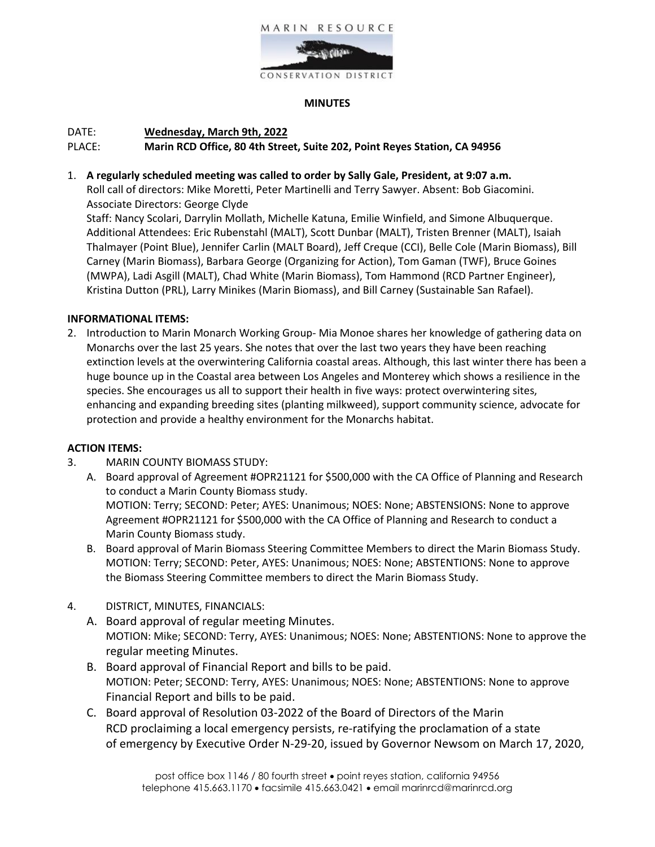

#### **MINUTES**

## DATE: **Wednesday, March 9th, 2022** PLACE: **Marin RCD Office, 80 4th Street, Suite 202, Point Reyes Station, CA 94956**

1. **A regularly scheduled meeting was called to order by Sally Gale, President, at 9:07 a.m.**

Roll call of directors: Mike Moretti, Peter Martinelli and Terry Sawyer. Absent: Bob Giacomini. Associate Directors: George Clyde

Staff: Nancy Scolari, Darrylin Mollath, Michelle Katuna, Emilie Winfield, and Simone Albuquerque. Additional Attendees: Eric Rubenstahl (MALT), Scott Dunbar (MALT), Tristen Brenner (MALT), Isaiah Thalmayer (Point Blue), Jennifer Carlin (MALT Board), Jeff Creque (CCI), Belle Cole (Marin Biomass), Bill Carney (Marin Biomass), Barbara George (Organizing for Action), Tom Gaman (TWF), Bruce Goines (MWPA), Ladi Asgill (MALT), Chad White (Marin Biomass), Tom Hammond (RCD Partner Engineer), Kristina Dutton (PRL), Larry Minikes (Marin Biomass), and Bill Carney (Sustainable San Rafael).

## **INFORMATIONAL ITEMS:**

2. Introduction to Marin Monarch Working Group- Mia Monoe shares her knowledge of gathering data on Monarchs over the last 25 years. She notes that over the last two years they have been reaching extinction levels at the overwintering California coastal areas. Although, this last winter there has been a huge bounce up in the Coastal area between Los Angeles and Monterey which shows a resilience in the species. She encourages us all to support their health in five ways: protect overwintering sites, enhancing and expanding breeding sites (planting milkweed), support community science, advocate for protection and provide a healthy environment for the Monarchs habitat.

## **ACTION ITEMS:**

- 3. MARIN COUNTY BIOMASS STUDY:
	- A. Board approval of Agreement #OPR21121 for \$500,000 with the CA Office of Planning and Research to conduct a Marin County Biomass study. MOTION: Terry; SECOND: Peter; AYES: Unanimous; NOES: None; ABSTENSIONS: None to approve Agreement #OPR21121 for \$500,000 with the CA Office of Planning and Research to conduct a Marin County Biomass study.
	- B. Board approval of Marin Biomass Steering Committee Members to direct the Marin Biomass Study. MOTION: Terry; SECOND: Peter, AYES: Unanimous; NOES: None; ABSTENTIONS: None to approve the Biomass Steering Committee members to direct the Marin Biomass Study.
- 4. DISTRICT, MINUTES, FINANCIALS:
	- A. Board approval of regular meeting Minutes. MOTION: Mike; SECOND: Terry, AYES: Unanimous; NOES: None; ABSTENTIONS: None to approve the regular meeting Minutes.
	- B. Board approval of Financial Report and bills to be paid. MOTION: Peter; SECOND: Terry, AYES: Unanimous; NOES: None; ABSTENTIONS: None to approve Financial Report and bills to be paid.
	- C. Board approval of Resolution 03-2022 of the Board of Directors of the Marin RCD proclaiming a local emergency persists, re-ratifying the proclamation of a state of emergency by Executive Order N-29-20, issued by Governor Newsom on March 17, 2020,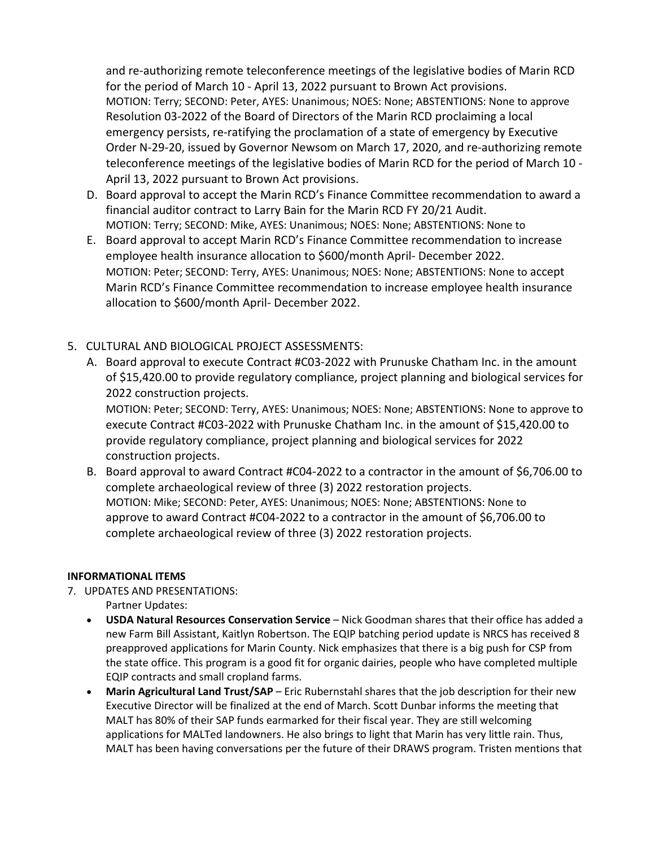and re-authorizing remote teleconference meetings of the legislative bodies of Marin RCD for the period of March 10 - April 13, 2022 pursuant to Brown Act provisions. MOTION: Terry; SECOND: Peter, AYES: Unanimous; NOES: None; ABSTENTIONS: None to approve Resolution 03-2022 of the Board of Directors of the Marin RCD proclaiming a local emergency persists, re-ratifying the proclamation of a state of emergency by Executive Order N-29-20, issued by Governor Newsom on March 17, 2020, and re-authorizing remote teleconference meetings of the legislative bodies of Marin RCD for the period of March 10 - April 13, 2022 pursuant to Brown Act provisions.

- D. Board approval to accept the Marin RCD's Finance Committee recommendation to award a financial auditor contract to Larry Bain for the Marin RCD FY 20/21 Audit. MOTION: Terry; SECOND: Mike, AYES: Unanimous; NOES: None; ABSTENTIONS: None to
- E. Board approval to accept Marin RCD's Finance Committee recommendation to increase employee health insurance allocation to \$600/month April- December 2022. MOTION: Peter; SECOND: Terry, AYES: Unanimous; NOES: None; ABSTENTIONS: None to accept Marin RCD's Finance Committee recommendation to increase employee health insurance allocation to \$600/month April- December 2022.
- 5. CULTURAL AND BIOLOGICAL PROJECT ASSESSMENTS:
	- A. Board approval to execute Contract #C03-2022 with Prunuske Chatham Inc. in the amount of \$15,420.00 to provide regulatory compliance, project planning and biological services for 2022 construction projects.

MOTION: Peter; SECOND: Terry, AYES: Unanimous; NOES: None; ABSTENTIONS: None to approve to execute Contract #C03-2022 with Prunuske Chatham Inc. in the amount of \$15,420.00 to provide regulatory compliance, project planning and biological services for 2022 construction projects.

B. Board approval to award Contract #C04-2022 to a contractor in the amount of \$6,706.00 to complete archaeological review of three (3) 2022 restoration projects. MOTION: Mike; SECOND: Peter, AYES: Unanimous; NOES: None; ABSTENTIONS: None to approve to award Contract #C04-2022 to a contractor in the amount of \$6,706.00 to complete archaeological review of three (3) 2022 restoration projects.

## **INFORMATIONAL ITEMS**

- 7. UPDATES AND PRESENTATIONS:
	- Partner Updates:
	- **USDA Natural Resources Conservation Service**  Nick Goodman shares that their office has added a new Farm Bill Assistant, Kaitlyn Robertson. The EQIP batching period update is NRCS has received 8 preapproved applications for Marin County. Nick emphasizes that there is a big push for CSP from the state office. This program is a good fit for organic dairies, people who have completed multiple EQIP contracts and small cropland farms.
	- **Marin Agricultural Land Trust/SAP**  Eric Rubernstahl shares that the job description for their new Executive Director will be finalized at the end of March. Scott Dunbar informs the meeting that MALT has 80% of their SAP funds earmarked for their fiscal year. They are still welcoming applications for MALTed landowners. He also brings to light that Marin has very little rain. Thus, MALT has been having conversations per the future of their DRAWS program. Tristen mentions that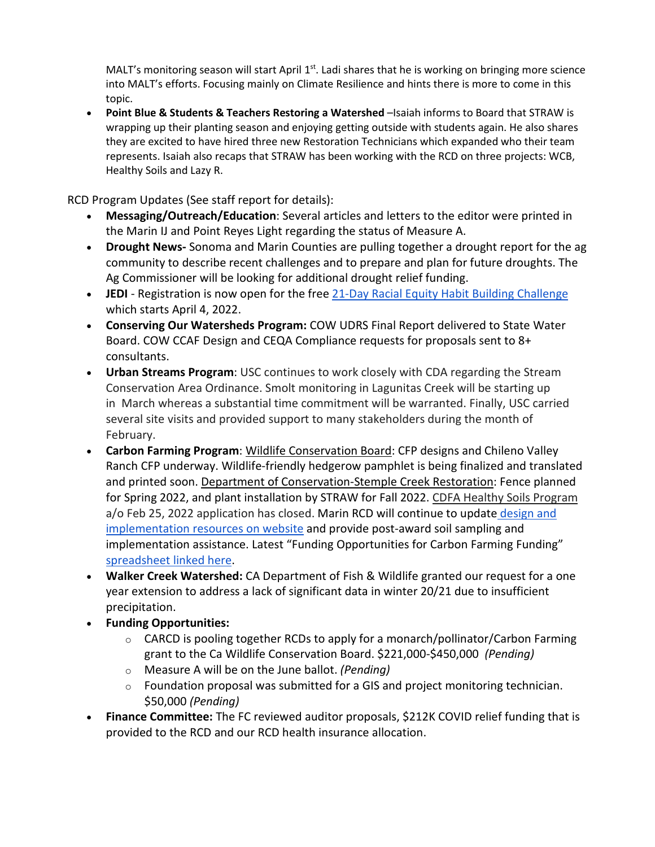MALT's monitoring season will start April  $1<sup>st</sup>$ . Ladi shares that he is working on bringing more science into MALT's efforts. Focusing mainly on Climate Resilience and hints there is more to come in this topic.

• **Point Blue & Students & Teachers Restoring a Watershed** –Isaiah informs to Board that STRAW is wrapping up their planting season and enjoying getting outside with students again. He also shares they are excited to have hired three new Restoration Technicians which expanded who their team represents. Isaiah also recaps that STRAW has been working with the RCD on three projects: WCB, Healthy Soils and Lazy R.

RCD Program Updates (See staff report for details):

- **Messaging/Outreach/Education**: Several articles and letters to the editor were printed in the Marin IJ and Point Reyes Light regarding the status of Measure A.
- **Drought News-** Sonoma and Marin Counties are pulling together a drought report for the ag community to describe recent challenges and to prepare and plan for future droughts. The Ag Commissioner will be looking for additional drought relief funding.
- JEDI Registration is now open for the free [21-Day Racial Equity Habit Building Challenge](https://foodsolutionsne.org/21-day-racial-equity-habit-building-challenge/?utm_source=Food+Solutions+New+England+Mailing+List&utm_campaign=07ff9d6a6d-EMAIL_CAMPAIGN_3_20_2019_5_57_COPY_01&utm_medium=email&utm_term=0_462281e2ff-07ff9d6a6d-447779796) which starts April 4, 2022.
- **Conserving Our Watersheds Program:** COW UDRS Final Report delivered to State Water Board. COW CCAF Design and CEQA Compliance requests for proposals sent to 8+ consultants.
- **Urban Streams Program**: USC continues to work closely with CDA regarding the Stream Conservation Area Ordinance. Smolt monitoring in Lagunitas Creek will be starting up in March whereas a substantial time commitment will be warranted. Finally, USC carried several site visits and provided support to many stakeholders during the month of February.
- **Carbon Farming Program**: Wildlife Conservation Board: CFP designs and Chileno Valley Ranch CFP underway. Wildlife-friendly hedgerow pamphlet is being finalized and translated and printed soon. Department of Conservation-Stemple Creek Restoration: Fence planned for Spring 2022, and plant installation by STRAW for Fall 2022. CDFA Healthy Soils Program a/o Feb 25, 2022 application has closed. Marin RCD will continue to update [design and](https://www.marinrcd.org/carbon-farm-implementation/)  [implementation resources on website](https://www.marinrcd.org/carbon-farm-implementation/) and provide post-award soil sampling and implementation assistance. Latest "Funding Opportunities for Carbon Farming Funding" [spreadsheet linked here.](https://www.marinrcd.org/wp/wp-content/uploads/2022/02/Funding-for-Carbon-Farming-in-Marin_Feb2022update1.pdf)
- **Walker Creek Watershed:** CA Department of Fish & Wildlife granted our request for a one year extension to address a lack of significant data in winter 20/21 due to insufficient precipitation.
- **Funding Opportunities:**
	- $\circ$  CARCD is pooling together RCDs to apply for a monarch/pollinator/Carbon Farming grant to the Ca Wildlife Conservation Board. \$221,000-\$450,000 *(Pending)*
	- o Measure A will be on the June ballot. *(Pending)*
	- o Foundation proposal was submitted for a GIS and project monitoring technician. \$50,000 *(Pending)*
- **Finance Committee:** The FC reviewed auditor proposals, \$212K COVID relief funding that is provided to the RCD and our RCD health insurance allocation.